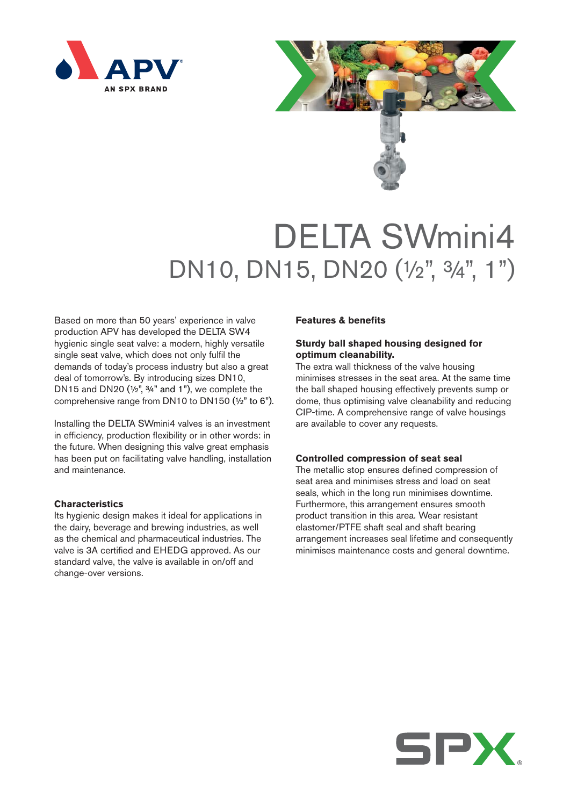



# DELTA SWmini4 DN10, DN15, DN20 (1/2", 3/4", 1")

Based on more than 50 years' experience in valve production APV has developed the DELTA SW4 hygienic single seat valve: a modern, highly versatile single seat valve, which does not only fulfil the demands of today's process industry but also a great deal of tomorrow's. By introducing sizes DN10, DN15 and DN20  $(1/2)$ ,  $3/4$ " and 1"), we complete the comprehensive range from DN10 to DN150 (½" to 6").

Installing the DELTA SWmini4 valves is an investment in efficiency, production flexibility or in other words: in the future. When designing this valve great emphasis has been put on facilitating valve handling, installation and maintenance.

### **Characteristics**

Its hygienic design makes it ideal for applications in the dairy, beverage and brewing industries, as well as the chemical and pharmaceutical industries. The valve is 3A certified and EHEDG approved. As our standard valve, the valve is available in on/off and change-over versions.

#### **Features & benefits**

## **Sturdy ball shaped housing designed for optimum cleanability.**

The extra wall thickness of the valve housing minimises stresses in the seat area. At the same time the ball shaped housing effectively prevents sump or dome, thus optimising valve cleanability and reducing CIP-time. A comprehensive range of valve housings are available to cover any requests.

#### **Controlled compression of seat seal**

The metallic stop ensures defined compression of seat area and minimises stress and load on seat seals, which in the long run minimises downtime. Furthermore, this arrangement ensures smooth product transition in this area. Wear resistant elastomer/PTFE shaft seal and shaft bearing arrangement increases seal lifetime and consequently minimises maintenance costs and general downtime.